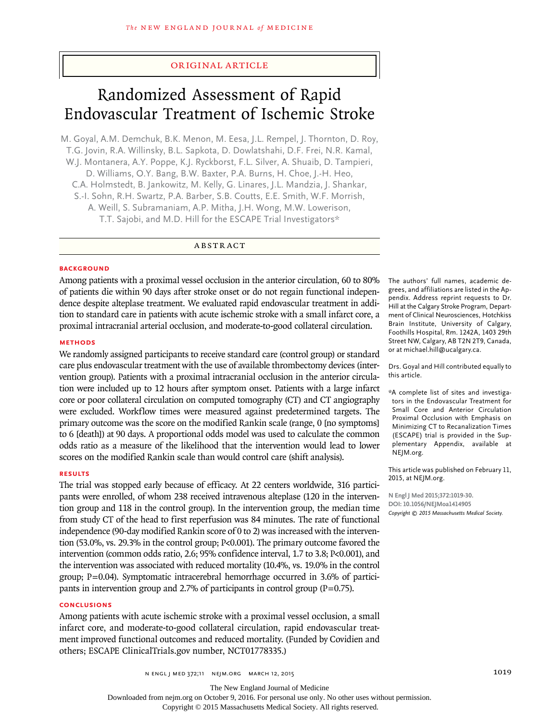## original article

# Randomized Assessment of Rapid Endovascular Treatment of Ischemic Stroke

M. Goyal, A.M. Demchuk, B.K. Menon, M. Eesa, J.L. Rempel, J. Thornton, D. Roy, T.G. Jovin, R.A. Willinsky, B.L. Sapkota, D. Dowlatshahi, D.F. Frei, N.R. Kamal, W.J. Montanera, A.Y. Poppe, K.J. Ryckborst, F.L. Silver, A. Shuaib, D. Tampieri, D. Williams, O.Y. Bang, B.W. Baxter, P.A. Burns, H. Choe, J.-H. Heo, C.A. Holmstedt, B. Jankowitz, M. Kelly, G. Linares, J.L. Mandzia, J. Shankar, S.-I. Sohn, R.H. Swartz, P.A. Barber, S.B. Coutts, E.E. Smith, W.F. Morrish, A. Weill, S. Subramaniam, A.P. Mitha, J.H. Wong, M.W. Lowerison, T.T. Sajobi, and M.D. Hill for the ESCAPE Trial Investigators\*

## ABSTRACT

#### **BACKGROUND**

Among patients with a proximal vessel occlusion in the anterior circulation, 60 to 80% of patients die within 90 days after stroke onset or do not regain functional independence despite alteplase treatment. We evaluated rapid endovascular treatment in addition to standard care in patients with acute ischemic stroke with a small infarct core, a proximal intracranial arterial occlusion, and moderate-to-good collateral circulation.

## **Methods**

We randomly assigned participants to receive standard care (control group) or standard care plus endovascular treatment with the use of available thrombectomy devices (intervention group). Patients with a proximal intracranial occlusion in the anterior circulation were included up to 12 hours after symptom onset. Patients with a large infarct core or poor collateral circulation on computed tomography (CT) and CT angiography were excluded. Workflow times were measured against predetermined targets. The primary outcome was the score on the modified Rankin scale (range, 0 [no symptoms] to 6 [death]) at 90 days. A proportional odds model was used to calculate the common odds ratio as a measure of the likelihood that the intervention would lead to lower scores on the modified Rankin scale than would control care (shift analysis).

## **Results**

The trial was stopped early because of efficacy. At 22 centers worldwide, 316 participants were enrolled, of whom 238 received intravenous alteplase (120 in the intervention group and 118 in the control group). In the intervention group, the median time from study CT of the head to first reperfusion was 84 minutes. The rate of functional independence (90-day modified Rankin score of 0 to 2) was increased with the intervention (53.0%, vs. 29.3% in the control group; P<0.001). The primary outcome favored the intervention (common odds ratio, 2.6; 95% confidence interval, 1.7 to 3.8; P<0.001), and the intervention was associated with reduced mortality (10.4%, vs. 19.0% in the control group; P=0.04). Symptomatic intracerebral hemorrhage occurred in 3.6% of participants in intervention group and 2.7% of participants in control group  $(P=0.75)$ .

## **Conclusions**

Among patients with acute ischemic stroke with a proximal vessel occlusion, a small infarct core, and moderate-to-good collateral circulation, rapid endovascular treatment improved functional outcomes and reduced mortality. (Funded by Covidien and others; ESCAPE ClinicalTrials.gov number, NCT01778335.)

The authors' full names, academic degrees, and affiliations are listed in the Appendix. Address reprint requests to Dr. Hill at the Calgary Stroke Program, Department of Clinical Neurosciences, Hotchkiss Brain Institute, University of Calgary, Foothills Hospital, Rm. 1242A, 1403 29th Street NW, Calgary, AB T2N 2T9, Canada, or at michael.hill@ucalgary.ca.

Drs. Goyal and Hill contributed equally to this article.

\*A complete list of sites and investigators in the Endovascular Treatment for Small Core and Anterior Circulation Proximal Occlusion with Emphasis on Minimizing CT to Recanalization Times (ESCAPE) trial is provided in the Supplementary Appendix, available at NEJM.org.

This article was published on February 11, 2015, at NEJM.org.

**N Engl J Med 2015;372:1019-30. DOI: 10.1056/NEJMoa1414905** *Copyright © 2015 Massachusetts Medical Society.*

The New England Journal of Medicine

Downloaded from nejm.org on October 9, 2016. For personal use only. No other uses without permission.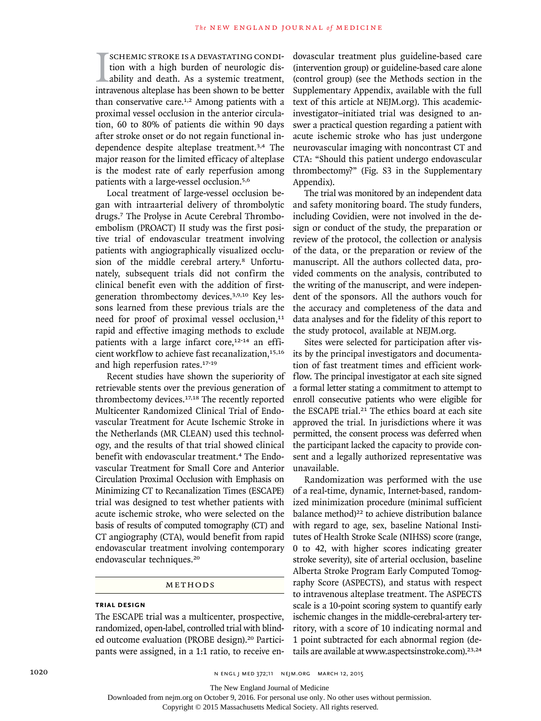I<br>intr schemic stroke is a devastating condition with a high burden of neurologic disability and death. As a systemic treatment, intravenous alteplase has been shown to be better than conservative care.<sup>1,2</sup> Among patients with a proximal vessel occlusion in the anterior circulation, 60 to 80% of patients die within 90 days after stroke onset or do not regain functional independence despite alteplase treatment.3,4 The major reason for the limited efficacy of alteplase is the modest rate of early reperfusion among patients with a large-vessel occlusion.5,6

Local treatment of large-vessel occlusion began with intraarterial delivery of thrombolytic drugs.7 The Prolyse in Acute Cerebral Thromboembolism (PROACT) II study was the first positive trial of endovascular treatment involving patients with angiographically visualized occlusion of the middle cerebral artery.8 Unfortunately, subsequent trials did not confirm the clinical benefit even with the addition of firstgeneration thrombectomy devices.3,9,10 Key lessons learned from these previous trials are the need for proof of proximal vessel occlusion,<sup>11</sup> rapid and effective imaging methods to exclude patients with a large infarct core,<sup>12-14</sup> an efficient workflow to achieve fast recanalization,<sup>15,16</sup> and high reperfusion rates.17-19

Recent studies have shown the superiority of retrievable stents over the previous generation of thrombectomy devices.17,18 The recently reported Multicenter Randomized Clinical Trial of Endovascular Treatment for Acute Ischemic Stroke in the Netherlands (MR CLEAN) used this technology, and the results of that trial showed clinical benefit with endovascular treatment.4 The Endovascular Treatment for Small Core and Anterior Circulation Proximal Occlusion with Emphasis on Minimizing CT to Recanalization Times (ESCAPE) trial was designed to test whether patients with acute ischemic stroke, who were selected on the basis of results of computed tomography (CT) and CT angiography (CTA), would benefit from rapid endovascular treatment involving contemporary endovascular techniques.<sup>20</sup>

## **METHODS**

## **Trial Design**

The ESCAPE trial was a multicenter, prospective, randomized, open-label, controlled trial with blinded outcome evaluation (PROBE design).<sup>20</sup> Participants were assigned, in a 1:1 ratio, to receive endovascular treatment plus guideline-based care (intervention group) or guideline-based care alone (control group) (see the Methods section in the Supplementary Appendix, available with the full text of this article at NEJM.org). This academicinvestigator–initiated trial was designed to answer a practical question regarding a patient with acute ischemic stroke who has just undergone neurovascular imaging with noncontrast CT and CTA: "Should this patient undergo endovascular thrombectomy?" (Fig. S3 in the Supplementary Appendix).

The trial was monitored by an independent data and safety monitoring board. The study funders, including Covidien, were not involved in the design or conduct of the study, the preparation or review of the protocol, the collection or analysis of the data, or the preparation or review of the manuscript. All the authors collected data, provided comments on the analysis, contributed to the writing of the manuscript, and were independent of the sponsors. All the authors vouch for the accuracy and completeness of the data and data analyses and for the fidelity of this report to the study protocol, available at NEJM.org.

Sites were selected for participation after visits by the principal investigators and documentation of fast treatment times and efficient workflow. The principal investigator at each site signed a formal letter stating a commitment to attempt to enroll consecutive patients who were eligible for the ESCAPE trial.<sup>21</sup> The ethics board at each site approved the trial. In jurisdictions where it was permitted, the consent process was deferred when the participant lacked the capacity to provide consent and a legally authorized representative was unavailable.

Randomization was performed with the use of a real-time, dynamic, Internet-based, randomized minimization procedure (minimal sufficient balance method)<sup>22</sup> to achieve distribution balance with regard to age, sex, baseline National Institutes of Health Stroke Scale (NIHSS) score (range, 0 to 42, with higher scores indicating greater stroke severity), site of arterial occlusion, baseline Alberta Stroke Program Early Computed Tomography Score (ASPECTS), and status with respect to intravenous alteplase treatment. The ASPECTS scale is a 10-point scoring system to quantify early ischemic changes in the middle-cerebral-artery territory, with a score of 10 indicating normal and 1 point subtracted for each abnormal region (details are available at www.aspectsinstroke.com).<sup>23,24</sup>

The New England Journal of Medicine

Downloaded from nejm.org on October 9, 2016. For personal use only. No other uses without permission.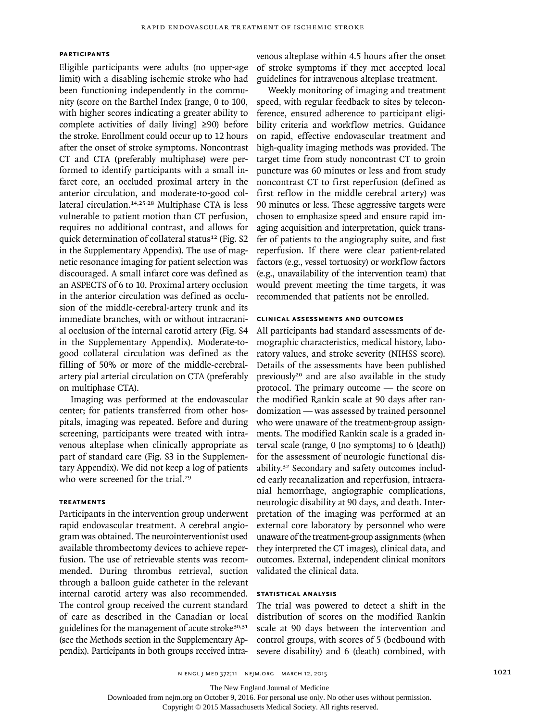### **Participants**

Eligible participants were adults (no upper-age limit) with a disabling ischemic stroke who had been functioning independently in the community (score on the Barthel Index [range, 0 to 100, with higher scores indicating a greater ability to complete activities of daily living] ≥90) before the stroke. Enrollment could occur up to 12 hours after the onset of stroke symptoms. Noncontrast CT and CTA (preferably multiphase) were performed to identify participants with a small infarct core, an occluded proximal artery in the anterior circulation, and moderate-to-good collateral circulation.14,25-28 Multiphase CTA is less vulnerable to patient motion than CT perfusion, requires no additional contrast, and allows for quick determination of collateral status<sup>12</sup> (Fig. S2 in the Supplementary Appendix). The use of magnetic resonance imaging for patient selection was discouraged. A small infarct core was defined as an ASPECTS of 6 to 10. Proximal artery occlusion in the anterior circulation was defined as occlusion of the middle-cerebral-artery trunk and its immediate branches, with or without intracranial occlusion of the internal carotid artery (Fig. S4 in the Supplementary Appendix). Moderate-togood collateral circulation was defined as the filling of 50% or more of the middle-cerebralartery pial arterial circulation on CTA (preferably on multiphase CTA).

Imaging was performed at the endovascular center; for patients transferred from other hospitals, imaging was repeated. Before and during screening, participants were treated with intravenous alteplase when clinically appropriate as part of standard care (Fig. S3 in the Supplementary Appendix). We did not keep a log of patients who were screened for the trial.<sup>29</sup>

#### **Treatments**

Participants in the intervention group underwent rapid endovascular treatment. A cerebral angiogram was obtained. The neurointerventionist used available thrombectomy devices to achieve reperfusion. The use of retrievable stents was recommended. During thrombus retrieval, suction through a balloon guide catheter in the relevant internal carotid artery was also recommended. The control group received the current standard of care as described in the Canadian or local guidelines for the management of acute stroke<sup>30,31</sup> (see the Methods section in the Supplementary Appendix). Participants in both groups received intravenous alteplase within 4.5 hours after the onset of stroke symptoms if they met accepted local guidelines for intravenous alteplase treatment.

Weekly monitoring of imaging and treatment speed, with regular feedback to sites by teleconference, ensured adherence to participant eligibility criteria and workflow metrics. Guidance on rapid, effective endovascular treatment and high-quality imaging methods was provided. The target time from study noncontrast CT to groin puncture was 60 minutes or less and from study noncontrast CT to first reperfusion (defined as first reflow in the middle cerebral artery) was 90 minutes or less. These aggressive targets were chosen to emphasize speed and ensure rapid imaging acquisition and interpretation, quick transfer of patients to the angiography suite, and fast reperfusion. If there were clear patient-related factors (e.g., vessel tortuosity) or workflow factors (e.g., unavailability of the intervention team) that would prevent meeting the time targets, it was recommended that patients not be enrolled.

### **Clinical Assessments and Outcomes**

All participants had standard assessments of demographic characteristics, medical history, laboratory values, and stroke severity (NIHSS score). Details of the assessments have been published previously20 and are also available in the study protocol. The primary outcome — the score on the modified Rankin scale at 90 days after randomization — was assessed by trained personnel who were unaware of the treatment-group assignments. The modified Rankin scale is a graded interval scale (range, 0 [no symptoms] to 6 [death]) for the assessment of neurologic functional disability.32 Secondary and safety outcomes included early recanalization and reperfusion, intracranial hemorrhage, angiographic complications, neurologic disability at 90 days, and death. Interpretation of the imaging was performed at an external core laboratory by personnel who were unaware of the treatment-group assignments (when they interpreted the CT images), clinical data, and outcomes. External, independent clinical monitors validated the clinical data.

### **Statistical Analysis**

The trial was powered to detect a shift in the distribution of scores on the modified Rankin scale at 90 days between the intervention and control groups, with scores of 5 (bedbound with severe disability) and 6 (death) combined, with

The New England Journal of Medicine

Downloaded from nejm.org on October 9, 2016. For personal use only. No other uses without permission.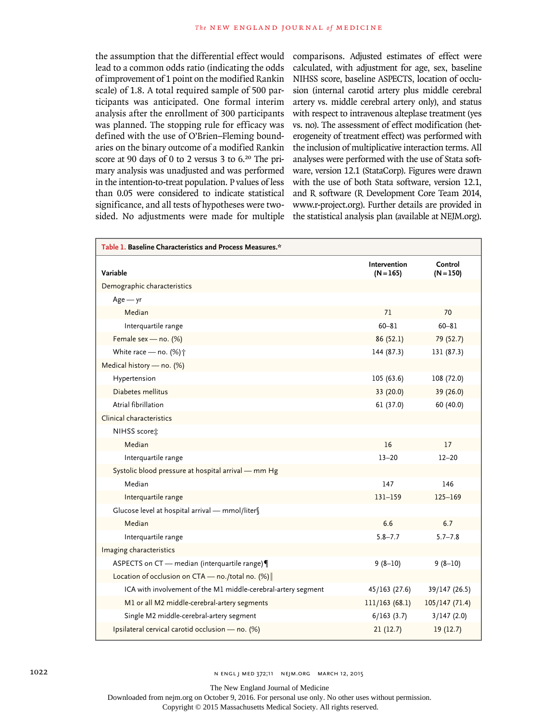the assumption that the differential effect would lead to a common odds ratio (indicating the odds of improvement of 1 point on the modified Rankin scale) of 1.8. A total required sample of 500 participants was anticipated. One formal interim analysis after the enrollment of 300 participants was planned. The stopping rule for efficacy was defined with the use of O'Brien–Fleming boundaries on the binary outcome of a modified Rankin score at 90 days of 0 to 2 versus 3 to 6.20 The primary analysis was unadjusted and was performed in the intention-to-treat population. P values of less than 0.05 were considered to indicate statistical significance, and all tests of hypotheses were twosided. No adjustments were made for multiple

comparisons. Adjusted estimates of effect were calculated, with adjustment for age, sex, baseline NIHSS score, baseline ASPECTS, location of occlusion (internal carotid artery plus middle cerebral artery vs. middle cerebral artery only), and status with respect to intravenous alteplase treatment (yes vs. no). The assessment of effect modification (heterogeneity of treatment effect) was performed with the inclusion of multiplicative interaction terms. All analyses were performed with the use of Stata software, version 12.1 (StataCorp). Figures were drawn with the use of both Stata software, version 12.1, and R software (R Development Core Team 2014, www.r-project.org). Further details are provided in the statistical analysis plan (available at NEJM.org).

| Table 1. Baseline Characteristics and Process Measures.*      |                             |                        |  |  |
|---------------------------------------------------------------|-----------------------------|------------------------|--|--|
| Variable                                                      | Intervention<br>$(N = 165)$ | Control<br>$(N = 150)$ |  |  |
| Demographic characteristics                                   |                             |                        |  |  |
| $Age - yr$                                                    |                             |                        |  |  |
| Median                                                        | 71                          | 70                     |  |  |
| Interquartile range                                           | $60 - 81$                   | $60 - 81$              |  |  |
| Female sex - no. (%)                                          | 86 (52.1)                   | 79 (52.7)              |  |  |
| White race - no. $(%)\uparrow$                                | 144 (87.3)                  | 131 (87.3)             |  |  |
| Medical history - no. (%)                                     |                             |                        |  |  |
| Hypertension                                                  | 105(63.6)                   | 108 (72.0)             |  |  |
| Diabetes mellitus                                             | 33 (20.0)                   | 39 (26.0)              |  |  |
| Atrial fibrillation                                           | 61 (37.0)                   | 60 (40.0)              |  |  |
| Clinical characteristics                                      |                             |                        |  |  |
| NIHSS score;                                                  |                             |                        |  |  |
| Median                                                        | 16                          | 17                     |  |  |
| Interquartile range                                           | $13 - 20$                   | $12 - 20$              |  |  |
| Systolic blood pressure at hospital arrival - mm Hg           |                             |                        |  |  |
| Median                                                        | 147                         | 146                    |  |  |
| Interquartile range                                           | $131 - 159$                 | $125 - 169$            |  |  |
| Glucose level at hospital arrival - mmol/liters               |                             |                        |  |  |
| Median                                                        | 6.6                         | 6.7                    |  |  |
| Interquartile range                                           | $5.8 - 7.7$                 | $5.7 - 7.8$            |  |  |
| Imaging characteristics                                       |                             |                        |  |  |
| ASPECTS on CT - median (interquartile range)                  | $9(8-10)$                   | $9(8-10)$              |  |  |
| Location of occlusion on CTA - no./total no. (%)              |                             |                        |  |  |
| ICA with involvement of the M1 middle-cerebral-artery segment | 45/163 (27.6)               | 39/147 (26.5)          |  |  |
| M1 or all M2 middle-cerebral-artery segments                  | 111/163(68.1)               | 105/147(71.4)          |  |  |
| Single M2 middle-cerebral-artery segment                      | 6/163(3.7)                  | 3/147(2.0)             |  |  |
| Ipsilateral cervical carotid occlusion - no. (%)              | 21(12.7)                    | 19(12.7)               |  |  |

The New England Journal of Medicine

Downloaded from nejm.org on October 9, 2016. For personal use only. No other uses without permission.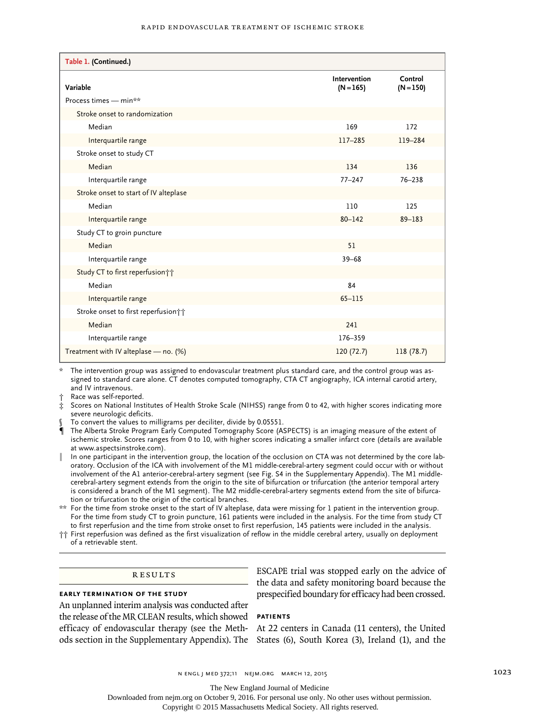#### R apid Endovascular Treatment of Ischemic Stroke

| Table 1. (Continued.)                 |                             |                        |
|---------------------------------------|-----------------------------|------------------------|
| Variable                              | Intervention<br>$(N = 165)$ | Control<br>$(N = 150)$ |
| Process times - min**                 |                             |                        |
| Stroke onset to randomization         |                             |                        |
| Median                                | 169                         | 172                    |
| Interquartile range                   | 117-285                     | 119-284                |
| Stroke onset to study CT              |                             |                        |
| Median                                | 134                         | 136                    |
| Interquartile range                   | $77 - 247$                  | $76 - 238$             |
| Stroke onset to start of IV alteplase |                             |                        |
| Median                                | 110                         | 125                    |
| Interquartile range                   | $80 - 142$                  | $89 - 183$             |
| Study CT to groin puncture            |                             |                        |
| Median                                | 51                          |                        |
| Interquartile range                   | $39 - 68$                   |                        |
| Study CT to first reperfusion         |                             |                        |
| Median                                | 84                          |                        |
| Interquartile range                   | $65 - 115$                  |                        |
| Stroke onset to first reperfusion ++  |                             |                        |
| Median                                | 241                         |                        |
| Interquartile range                   | 176-359                     |                        |
| Treatment with IV alteplase - no. (%) | 120(72.7)                   | 118 (78.7)             |

The intervention group was assigned to endovascular treatment plus standard care, and the control group was assigned to standard care alone. CT denotes computed tomography, CTA CT angiography, ICA internal carotid artery, and IV intravenous.

† Race was self-reported.

‡ Scores on National Institutes of Health Stroke Scale (NIHSS) range from 0 to 42, with higher scores indicating more severe neurologic deficits.

To convert the values to milligrams per deciliter, divide by 0.05551.

- ¶ The Alberta Stroke Program Early Computed Tomography Score (ASPECTS) is an imaging measure of the extent of ischemic stroke. Scores ranges from 0 to 10, with higher scores indicating a smaller infarct core (details are available at www.aspectsinstroke.com).
- In one participant in the intervention group, the location of the occlusion on CTA was not determined by the core laboratory. Occlusion of the ICA with involvement of the M1 middle-cerebral-artery segment could occur with or without involvement of the A1 anterior-cerebral-artery segment (see Fig. S4 in the Supplementary Appendix). The M1 middlecerebral-artery segment extends from the origin to the site of bifurcation or trifurcation (the anterior temporal artery is considered a branch of the M1 segment). The M2 middle-cerebral-artery segments extend from the site of bifurcation or trifurcation to the origin of the cortical branches.

\*\* For the time from stroke onset to the start of IV alteplase, data were missing for 1 patient in the intervention group. For the time from study CT to groin puncture, 161 patients were included in the analysis. For the time from study CT to first reperfusion and the time from stroke onset to first reperfusion, 145 patients were included in the analysis.

†† First reperfusion was defined as the first visualization of reflow in the middle cerebral artery, usually on deployment of a retrievable stent.

# Results

## **early termination of the study**

An unplanned interim analysis was conducted after the release of the MR CLEAN results, which showed efficacy of endovascular therapy (see the Meth-At 22 centers in Canada (11 centers), the United

ESCAPE trial was stopped early on the advice of the data and safety monitoring board because the prespecified boundary for efficacy had been crossed.

### **patients**

ods section in the Supplementary Appendix). The States (6), South Korea (3), Ireland (1), and the

n engl j med 372;11 nejm.org march 12, 2015 1023

The New England Journal of Medicine

Downloaded from nejm.org on October 9, 2016. For personal use only. No other uses without permission.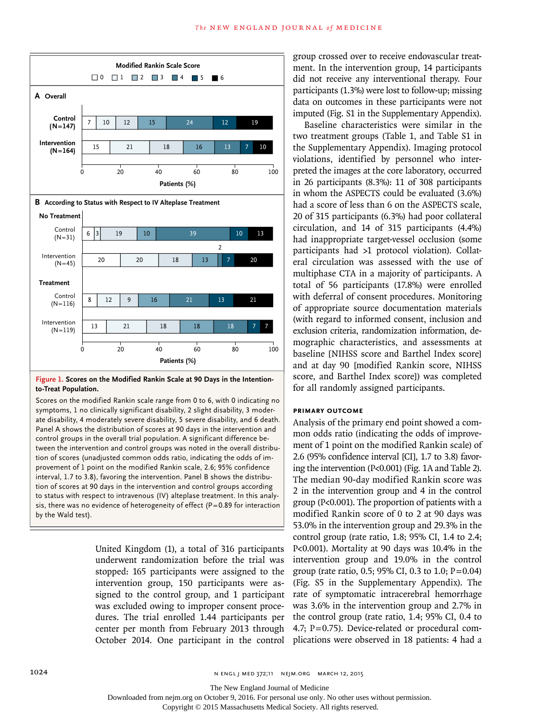

**Figure 1. Scores on the Modified Rankin Scale at 90 Days in the Intentionto-Treat Population.**

Scores on the modified Rankin scale range from 0 to 6, with 0 indicating no symptoms, 1 no clinically significant disability, 2 slight disability, 3 moderate disability, 4 moderately severe disability, 5 severe disability, and 6 death. Panel A shows the distribution of scores at 90 days in the intervention and control groups in the overall trial population. A significant difference between the intervention and control groups was noted in the overall distribution of scores (unadjusted common odds ratio, indicating the odds of improvement of 1 point on the modified Rankin scale, 2.6; 95% confidence interval, 1.7 to 3.8), favoring the intervention. Panel B shows the distribution of scores at 90 days in the intervention and control groups according to status with respect to intravenous (IV) alteplase treatment. In this analysis, there was no evidence of heterogeneity of effect (P=0.89 for interaction by the Wald test).

> United Kingdom (1), a total of 316 participants underwent randomization before the trial was stopped: 165 participants were assigned to the intervention group, 150 participants were assigned to the control group, and 1 participant was excluded owing to improper consent procedures. The trial enrolled 1.44 participants per center per month from February 2013 through October 2014. One participant in the control

group crossed over to receive endovascular treatment. In the intervention group, 14 participants did not receive any interventional therapy. Four participants (1.3%) were lost to follow-up; missing data on outcomes in these participants were not imputed (Fig. S1 in the Supplementary Appendix).

Baseline characteristics were similar in the two treatment groups (Table 1, and Table S1 in the Supplementary Appendix). Imaging protocol violations, identified by personnel who interpreted the images at the core laboratory, occurred in 26 participants (8.3%): 11 of 308 participants in whom the ASPECTS could be evaluated (3.6%) had a score of less than 6 on the ASPECTS scale, 20 of 315 participants (6.3%) had poor collateral circulation, and 14 of 315 participants (4.4%) had inappropriate target-vessel occlusion (some participants had >1 protocol violation). Collateral circulation was assessed with the use of multiphase CTA in a majority of participants. A total of 56 participants (17.8%) were enrolled with deferral of consent procedures. Monitoring of appropriate source documentation materials (with regard to informed consent, inclusion and exclusion criteria, randomization information, demographic characteristics, and assessments at baseline [NIHSS score and Barthel Index score] and at day 90 [modified Rankin score, NIHSS score, and Barthel Index score]) was completed for all randomly assigned participants.

### **primary outcome**

Analysis of the primary end point showed a common odds ratio (indicating the odds of improvement of 1 point on the modified Rankin scale) of 2.6 (95% confidence interval [CI], 1.7 to 3.8) favoring the intervention (P<0.001) (Fig. 1A and Table 2). The median 90-day modified Rankin score was 2 in the intervention group and 4 in the control group (P<0.001). The proportion of patients with a modified Rankin score of 0 to 2 at 90 days was 53.0% in the intervention group and 29.3% in the control group (rate ratio, 1.8; 95% CI, 1.4 to 2.4; P<0.001). Mortality at 90 days was 10.4% in the intervention group and 19.0% in the control group (rate ratio, 0.5; 95% CI, 0.3 to 1.0;  $P = 0.04$ ) (Fig. S5 in the Supplementary Appendix). The rate of symptomatic intracerebral hemorrhage was 3.6% in the intervention group and 2.7% in the control group (rate ratio, 1.4; 95% CI, 0.4 to 4.7;  $P = 0.75$ ). Device-related or procedural complications were observed in 18 patients: 4 had a

The New England Journal of Medicine

Downloaded from nejm.org on October 9, 2016. For personal use only. No other uses without permission.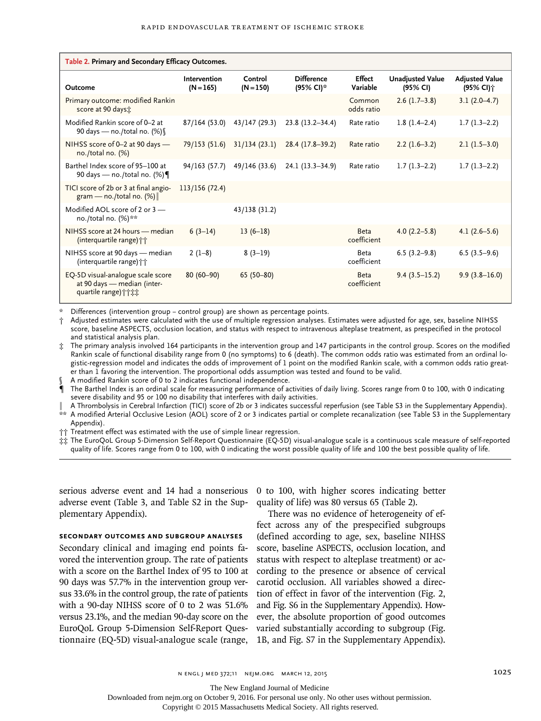| Table 2. Primary and Secondary Efficacy Outcomes.                                           |                             |                        |                                |                            |                                     |                                     |
|---------------------------------------------------------------------------------------------|-----------------------------|------------------------|--------------------------------|----------------------------|-------------------------------------|-------------------------------------|
| Outcome                                                                                     | Intervention<br>$(N = 165)$ | Control<br>$(N = 150)$ | <b>Difference</b><br>(95% CI)* | <b>Effect</b><br>Variable  | <b>Unadjusted Value</b><br>(95% CI) | <b>Adjusted Value</b><br>(95% CI) † |
| Primary outcome: modified Rankin<br>score at 90 days:                                       |                             |                        |                                | Common<br>odds ratio       | $2.6(1.7-3.8)$                      | $3.1(2.0-4.7)$                      |
| Modified Rankin score of 0-2 at<br>90 days — no./total no. $(\%)$                           | 87/164 (53.0)               | 43/147 (29.3)          | $23.8(13.2 - 34.4)$            | Rate ratio                 | $1.8(1.4-2.4)$                      | $1.7(1.3-2.2)$                      |
| NIHSS score of $0-2$ at 90 days $-$<br>no./total no. $(%)$                                  | 79/153 (51.6)               | 31/134(23.1)           | $28.4(17.8-39.2)$              | Rate ratio                 | $2.2(1.6-3.2)$                      | $2.1(1.5-3.0)$                      |
| Barthel Index score of 95-100 at<br>90 days — no./total no. $(\%) \P$                       | 94/163 (57.7)               | 49/146 (33.6)          | 24.1 (13.3–34.9)               | Rate ratio                 | $1.7(1.3-2.2)$                      | $1.7(1.3-2.2)$                      |
| TICI score of 2b or 3 at final angio-<br>gram — no./total no. $(\%)$                        | 113/156 (72.4)              |                        |                                |                            |                                     |                                     |
| Modified AOL score of 2 or $3$ –<br>no./total no. (%)**                                     |                             | 43/138 (31.2)          |                                |                            |                                     |                                     |
| NIHSS score at 24 hours - median<br>(interquartile range) † †                               | $6(3-14)$                   | $13(6-18)$             |                                | <b>Beta</b><br>coefficient | $4.0(2.2 - 5.8)$                    | $4.1(2.6-5.6)$                      |
| NIHSS score at 90 days - median<br>(interquartile range) † †                                | $2(1-8)$                    | $8(3-19)$              |                                | Beta<br>coefficient        | $6.5(3.2-9.8)$                      | $6.5(3.5-9.6)$                      |
| EQ-5D visual-analogue scale score<br>at 90 days - median (inter-<br>quartile range) † † ± ± | $80(60 - 90)$               | $65(50-80)$            |                                | <b>Beta</b><br>coefficient | $9.4(3.5-15.2)$                     | $9.9(3.8 - 16.0)$                   |

Differences (intervention group − control group) are shown as percentage points.

† Adjusted estimates were calculated with the use of multiple regression analyses. Estimates were adjusted for age, sex, baseline NIHSS score, baseline ASPECTS, occlusion location, and status with respect to intravenous alteplase treatment, as prespecified in the protocol and statistical analysis plan.

‡ The primary analysis involved 164 participants in the intervention group and 147 participants in the control group. Scores on the modified Rankin scale of functional disability range from 0 (no symptoms) to 6 (death). The common odds ratio was estimated from an ordinal logistic-regression model and indicates the odds of improvement of 1 point on the modified Rankin scale, with a common odds ratio greater than 1 favoring the intervention. The proportional odds assumption was tested and found to be valid.

§ A modified Rankin score of 0 to 2 indicates functional independence.

The Barthel Index is an ordinal scale for measuring performance of activities of daily living. Scores range from 0 to 100, with 0 indicating severe disability and 95 or 100 no disability that interferes with daily activities.

‖ A Thrombolysis in Cerebral Infarction (TICI) score of 2b or 3 indicates successful reperfusion (see Table S3 in the Supplementary Appendix).

 $\hat{*}\hat{*}$  A modified Arterial Occlusive Lesion (AOL) score of 2 or 3 indicates partial or complete recanalization (see Table S3 in the Supplementary Appendix).

†† Treatment effect was estimated with the use of simple linear regression.

‡‡ The EuroQoL Group 5-Dimension Self-Report Questionnaire (EQ-5D) visual-analogue scale is a continuous scale measure of self-reported quality of life. Scores range from 0 to 100, with 0 indicating the worst possible quality of life and 100 the best possible quality of life.

serious adverse event and 14 had a nonserious adverse event (Table 3, and Table S2 in the Supplementary Appendix).

#### **secondary outcomes and subgroup analyses**

Secondary clinical and imaging end points favored the intervention group. The rate of patients with a score on the Barthel Index of 95 to 100 at 90 days was 57.7% in the intervention group versus 33.6% in the control group, the rate of patients with a 90-day NIHSS score of 0 to 2 was 51.6% versus 23.1%, and the median 90-day score on the EuroQoL Group 5-Dimension Self-Report Questionnaire (EQ-5D) visual-analogue scale (range, 0 to 100, with higher scores indicating better quality of life) was 80 versus 65 (Table 2).

There was no evidence of heterogeneity of effect across any of the prespecified subgroups (defined according to age, sex, baseline NIHSS score, baseline ASPECTS, occlusion location, and status with respect to alteplase treatment) or according to the presence or absence of cervical carotid occlusion. All variables showed a direction of effect in favor of the intervention (Fig. 2, and Fig. S6 in the Supplementary Appendix). However, the absolute proportion of good outcomes varied substantially according to subgroup (Fig. 1B, and Fig. S7 in the Supplementary Appendix).

The New England Journal of Medicine

Downloaded from nejm.org on October 9, 2016. For personal use only. No other uses without permission.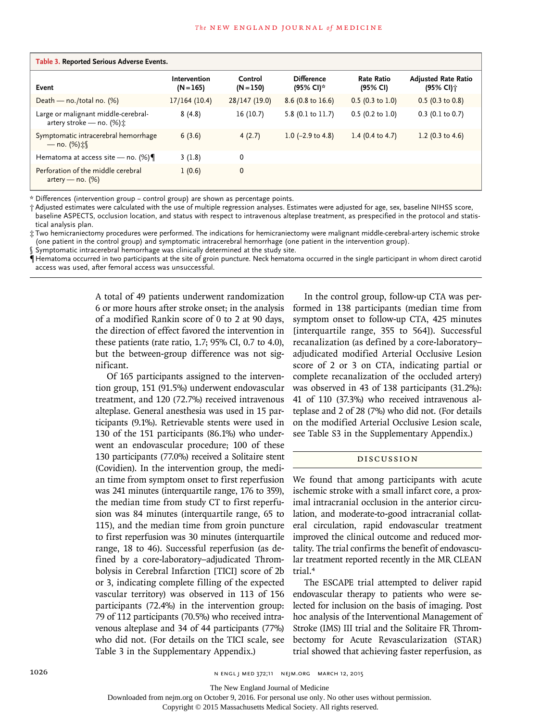|  | Table 3. Reported Serious Adverse Events. |
|--|-------------------------------------------|
|--|-------------------------------------------|

| Event                                                                | Intervention<br>$(N = 165)$ | Control<br>$(N = 150)$ | <b>Difference</b><br>(95% CI)* | <b>Rate Ratio</b><br>(95% CI) | <b>Adjusted Rate Ratio</b><br>(95% CI) † |
|----------------------------------------------------------------------|-----------------------------|------------------------|--------------------------------|-------------------------------|------------------------------------------|
| Death — no./total no. $(%)$                                          | 17/164 (10.4)               | 28/147 (19.0)          | 8.6 (0.8 to 16.6)              | $0.5$ (0.3 to 1.0)            | $0.5$ (0.3 to 0.8)                       |
| Large or malignant middle-cerebral-<br>artery stroke - no. $(\%)\pm$ | 8(4.8)                      | 16(10.7)               | 5.8 (0.1 to 11.7)              | $0.5$ (0.2 to 1.0)            | $0.3$ (0.1 to 0.7)                       |
| Symptomatic intracerebral hemorrhage<br>— no. (%)‡∫                  | 6(3.6)                      | 4(2.7)                 | 1.0 $(-2.9 \text{ to } 4.8)$   | 1.4 $(0.4 \text{ to } 4.7)$   | 1.2 $(0.3 \text{ to } 4.6)$              |
| Hematoma at access site – no. $(\%) \P$                              | 3(1.8)                      | 0                      |                                |                               |                                          |
| Perforation of the middle cerebral<br>artery — no. $(\%)$            | 1(0.6)                      | 0                      |                                |                               |                                          |

\* Differences (intervention group − control group) are shown as percentage points.

† Adjusted estimates were calculated with the use of multiple regression analyses. Estimates were adjusted for age, sex, baseline NIHSS score,

baseline ASPECTS, occlusion location, and status with respect to intravenous alteplase treatment, as prespecified in the protocol and statistical analysis plan.

‡ Two hemicraniectomy procedures were performed. The indications for hemicraniectomy were malignant middle-cerebral-artery ischemic stroke (one patient in the control group) and symptomatic intracerebral hemorrhage (one patient in the intervention group).

§ Symptomatic intracerebral hemorrhage was clinically determined at the study site.

¶Hematoma occurred in two participants at the site of groin puncture. Neck hematoma occurred in the single participant in whom direct carotid access was used, after femoral access was unsuccessful.

> A total of 49 patients underwent randomization 6 or more hours after stroke onset; in the analysis of a modified Rankin score of 0 to 2 at 90 days, the direction of effect favored the intervention in these patients (rate ratio, 1.7; 95% CI, 0.7 to 4.0), but the between-group difference was not significant.

> Of 165 participants assigned to the intervention group, 151 (91.5%) underwent endovascular treatment, and 120 (72.7%) received intravenous alteplase. General anesthesia was used in 15 participants (9.1%). Retrievable stents were used in 130 of the 151 participants (86.1%) who underwent an endovascular procedure; 100 of these 130 participants (77.0%) received a Solitaire stent (Covidien). In the intervention group, the median time from symptom onset to first reperfusion was 241 minutes (interquartile range, 176 to 359), the median time from study CT to first reperfusion was 84 minutes (interquartile range, 65 to 115), and the median time from groin puncture to first reperfusion was 30 minutes (interquartile range, 18 to 46). Successful reperfusion (as defined by a core-laboratory–adjudicated Thrombolysis in Cerebral Infarction [TICI] score of 2b or 3, indicating complete filling of the expected vascular territory) was observed in 113 of 156 participants (72.4%) in the intervention group: 79 of 112 participants (70.5%) who received intravenous alteplase and 34 of 44 participants (77%) who did not. (For details on the TICI scale, see Table 3 in the Supplementary Appendix.)

In the control group, follow-up CTA was performed in 138 participants (median time from symptom onset to follow-up CTA, 425 minutes [interquartile range, 355 to 564]). Successful recanalization (as defined by a core-laboratory– adjudicated modified Arterial Occlusive Lesion score of 2 or 3 on CTA, indicating partial or complete recanalization of the occluded artery) was observed in 43 of 138 participants (31.2%): 41 of 110 (37.3%) who received intravenous alteplase and 2 of 28 (7%) who did not. (For details on the modified Arterial Occlusive Lesion scale, see Table S3 in the Supplementary Appendix.)

## Discussion

We found that among participants with acute ischemic stroke with a small infarct core, a proximal intracranial occlusion in the anterior circulation, and moderate-to-good intracranial collateral circulation, rapid endovascular treatment improved the clinical outcome and reduced mortality. The trial confirms the benefit of endovascular treatment reported recently in the MR CLEAN trial.<sup>4</sup>

The ESCAPE trial attempted to deliver rapid endovascular therapy to patients who were selected for inclusion on the basis of imaging. Post hoc analysis of the Interventional Management of Stroke (IMS) III trial and the Solitaire FR Thrombectomy for Acute Revascularization (STAR) trial showed that achieving faster reperfusion, as

The New England Journal of Medicine

Downloaded from nejm.org on October 9, 2016. For personal use only. No other uses without permission.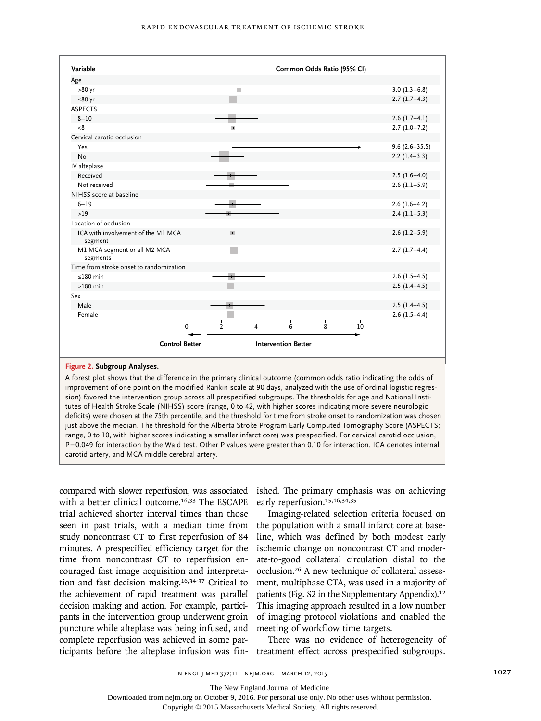| Variable                                      | Common Odds Ratio (95% CI)          |                   |
|-----------------------------------------------|-------------------------------------|-------------------|
| Age                                           |                                     |                   |
| $>80$ yr                                      |                                     | $3.0(1.3-6.8)$    |
| ≤ $80$ yr                                     |                                     | $2.7(1.7-4.3)$    |
| <b>ASPECTS</b>                                |                                     |                   |
| $8 - 10$                                      |                                     | $2.6(1.7-4.1)$    |
| < 8                                           |                                     | $2.7(1.0-7.2)$    |
| Cervical carotid occlusion                    |                                     |                   |
| Yes                                           |                                     | $9.6(2.6 - 35.5)$ |
| No                                            |                                     | $2.2(1.4-3.3)$    |
| IV alteplase                                  |                                     |                   |
| Received                                      |                                     | $2.5(1.6-4.0)$    |
| Not received                                  |                                     | $2.6(1.1-5.9)$    |
| NIHSS score at baseline                       |                                     |                   |
| $6 - 19$                                      |                                     | $2.6(1.6-4.2)$    |
| >19                                           |                                     | $2.4(1.1-5.3)$    |
| Location of occlusion                         |                                     |                   |
| ICA with involvement of the M1 MCA<br>segment |                                     | $2.6(1.2-5.9)$    |
| M1 MCA segment or all M2 MCA<br>segments      |                                     | $2.7(1.7-4.4)$    |
| Time from stroke onset to randomization       |                                     |                   |
| $<$ 180 $min$                                 |                                     | $2.6(1.5-4.5)$    |
| $>180$ min                                    |                                     | $2.5(1.4-4.5)$    |
| Sex                                           |                                     |                   |
| Male                                          |                                     | $2.5(1.4-4.5)$    |
| Female                                        |                                     | $2.6(1.5-4.4)$    |
| 0                                             | $\overline{2}$<br>8<br>6<br>4<br>10 |                   |
| <b>Control Better</b>                         | <b>Intervention Better</b>          |                   |

#### **Figure 2. Subgroup Analyses.**

A forest plot shows that the difference in the primary clinical outcome (common odds ratio indicating the odds of improvement of one point on the modified Rankin scale at 90 days, analyzed with the use of ordinal logistic regression) favored the intervention group across all prespecified subgroups. The thresholds for age and National Institutes of Health Stroke Scale (NIHSS) score (range, 0 to 42, with higher scores indicating more severe neurologic deficits) were chosen at the 75th percentile, and the threshold for time from stroke onset to randomization was chosen just above the median. The threshold for the Alberta Stroke Program Early Computed Tomography Score (ASPECTS; range, 0 to 10, with higher scores indicating a smaller infarct core) was prespecified. For cervical carotid occlusion, P=0.049 for interaction by the Wald test. Other P values were greater than 0.10 for interaction. ICA denotes internal carotid artery, and MCA middle cerebral artery.

compared with slower reperfusion, was associated ished. The primary emphasis was on achieving with a better clinical outcome.<sup>16,33</sup> The ESCAPE trial achieved shorter interval times than those seen in past trials, with a median time from study noncontrast CT to first reperfusion of 84 minutes. A prespecified efficiency target for the time from noncontrast CT to reperfusion encouraged fast image acquisition and interpretation and fast decision making.16,34-37 Critical to the achievement of rapid treatment was parallel decision making and action. For example, participants in the intervention group underwent groin puncture while alteplase was being infused, and complete reperfusion was achieved in some participants before the alteplase infusion was fin-

early reperfusion.<sup>15,16,34,35</sup>

Imaging-related selection criteria focused on the population with a small infarct core at baseline, which was defined by both modest early ischemic change on noncontrast CT and moderate-to-good collateral circulation distal to the occlusion.26 A new technique of collateral assessment, multiphase CTA, was used in a majority of patients (Fig. S2 in the Supplementary Appendix).<sup>12</sup> This imaging approach resulted in a low number of imaging protocol violations and enabled the meeting of workflow time targets.

There was no evidence of heterogeneity of treatment effect across prespecified subgroups.

The New England Journal of Medicine

Downloaded from nejm.org on October 9, 2016. For personal use only. No other uses without permission.

Copyright © 2015 Massachusetts Medical Society. All rights reserved.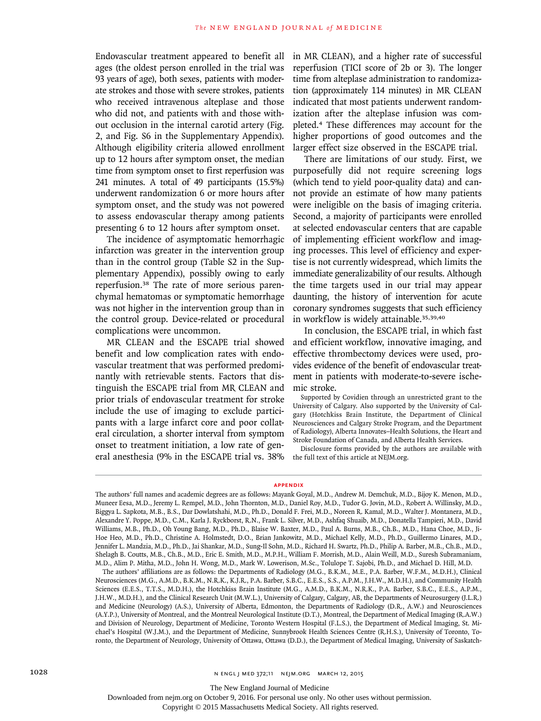Endovascular treatment appeared to benefit all ages (the oldest person enrolled in the trial was 93 years of age), both sexes, patients with moderate strokes and those with severe strokes, patients who received intravenous alteplase and those who did not, and patients with and those without occlusion in the internal carotid artery (Fig. 2, and Fig. S6 in the Supplementary Appendix). Although eligibility criteria allowed enrollment up to 12 hours after symptom onset, the median time from symptom onset to first reperfusion was 241 minutes. A total of 49 participants (15.5%) underwent randomization 6 or more hours after symptom onset, and the study was not powered to assess endovascular therapy among patients presenting 6 to 12 hours after symptom onset.

The incidence of asymptomatic hemorrhagic infarction was greater in the intervention group than in the control group (Table S2 in the Supplementary Appendix), possibly owing to early reperfusion.38 The rate of more serious parenchymal hematomas or symptomatic hemorrhage was not higher in the intervention group than in the control group. Device-related or procedural complications were uncommon.

MR CLEAN and the ESCAPE trial showed benefit and low complication rates with endovascular treatment that was performed predominantly with retrievable stents. Factors that distinguish the ESCAPE trial from MR CLEAN and prior trials of endovascular treatment for stroke include the use of imaging to exclude participants with a large infarct core and poor collateral circulation, a shorter interval from symptom onset to treatment initiation, a low rate of general anesthesia (9% in the ESCAPE trial vs. 38%

in MR CLEAN), and a higher rate of successful reperfusion (TICI score of 2b or 3). The longer time from alteplase administration to randomization (approximately 114 minutes) in MR CLEAN indicated that most patients underwent randomization after the alteplase infusion was completed.4 These differences may account for the higher proportions of good outcomes and the larger effect size observed in the ESCAPE trial.

There are limitations of our study. First, we purposefully did not require screening logs (which tend to yield poor-quality data) and cannot provide an estimate of how many patients were ineligible on the basis of imaging criteria. Second, a majority of participants were enrolled at selected endovascular centers that are capable of implementing efficient workflow and imaging processes. This level of efficiency and expertise is not currently widespread, which limits the immediate generalizability of our results. Although the time targets used in our trial may appear daunting, the history of intervention for acute coronary syndromes suggests that such efficiency in workflow is widely attainable.<sup>35,39,40</sup>

In conclusion, the ESCAPE trial, in which fast and efficient workflow, innovative imaging, and effective thrombectomy devices were used, provides evidence of the benefit of endovascular treatment in patients with moderate-to-severe ischemic stroke.

Supported by Covidien through an unrestricted grant to the University of Calgary. Also supported by the University of Calgary (Hotchkiss Brain Institute, the Department of Clinical Neurosciences and Calgary Stroke Program, and the Department of Radiology), Alberta Innovates–Health Solutions, the Heart and Stroke Foundation of Canada, and Alberta Health Services.

Disclosure forms provided by the authors are available with the full text of this article at NEJM.org.

#### **Appendix**

The New England Journal of Medicine

Downloaded from nejm.org on October 9, 2016. For personal use only. No other uses without permission.

The authors' full names and academic degrees are as follows: Mayank Goyal, M.D., Andrew M. Demchuk, M.D., Bijoy K. Menon, M.D., Muneer Eesa, M.D., Jeremy L. Rempel, M.D., John Thornton, M.D., Daniel Roy, M.D., Tudor G. Jovin, M.D., Robert A. Willinsky, M.D., Biggya L. Sapkota, M.B., B.S., Dar Dowlatshahi, M.D., Ph.D., Donald F. Frei, M.D., Noreen R. Kamal, M.D., Walter J. Montanera, M.D., Alexandre Y. Poppe, M.D., C.M., Karla J. Ryckborst, R.N., Frank L. Silver, M.D., Ashfaq Shuaib, M.D., Donatella Tampieri, M.D., David Williams, M.B., Ph.D., Oh Young Bang, M.D., Ph.D., Blaise W. Baxter, M.D., Paul A. Burns, M.B., Ch.B., M.D., Hana Choe, M.D., Ji-Hoe Heo, M.D., Ph.D., Christine A. Holmstedt, D.O., Brian Jankowitz, M.D., Michael Kelly, M.D., Ph.D., Guillermo Linares, M.D., Jennifer L. Mandzia, M.D., Ph.D., Jai Shankar, M.D., Sung-Il Sohn, M.D., Richard H. Swartz, Ph.D., Philip A. Barber, M.B., Ch.B., M.D., Shelagh B. Coutts, M.B., Ch.B., M.D., Eric E. Smith, M.D., M.P.H., William F. Morrish, M.D., Alain Weill, M.D., Suresh Subramaniam, M.D., Alim P. Mitha, M.D., John H. Wong, M.D., Mark W. Lowerison, M.Sc., Tolulope T. Sajobi, Ph.D., and Michael D. Hill, M.D.

The authors' affiliations are as follows: the Departments of Radiology (M.G., B.K.M., M.E., P.A. Barber, W.F.M., M.D.H.), Clinical Neurosciences (M.G., A.M.D., B.K.M., N.R.K., K.J.R., P.A. Barber, S.B.C., E.E.S., S.S., A.P.M., J.H.W., M.D.H.), and Community Health Sciences (E.E.S., T.T.S., M.D.H.), the Hotchkiss Brain Institute (M.G., A.M.D., B.K.M., N.R.K., P.A. Barber, S.B.C., E.E.S., A.P.M., J.H.W., M.D.H.), and the Clinical Research Unit (M.W.L.), University of Calgary, Calgary, AB, the Departments of Neurosurgery (J.L.R.) and Medicine (Neurology) (A.S.), University of Alberta, Edmonton, the Departments of Radiology (D.R., A.W.) and Neurosciences (A.Y.P.), University of Montreal, and the Montreal Neurological Institute (D.T.), Montreal, the Department of Medical Imaging (R.A.W.) and Division of Neurology, Department of Medicine, Toronto Western Hospital (F.L.S.), the Department of Medical Imaging, St. Michael's Hospital (W.J.M.), and the Department of Medicine, Sunnybrook Health Sciences Centre (R.H.S.), University of Toronto, Toronto, the Department of Neurology, University of Ottawa, Ottawa (D.D.), the Department of Medical Imaging, University of Saskatch-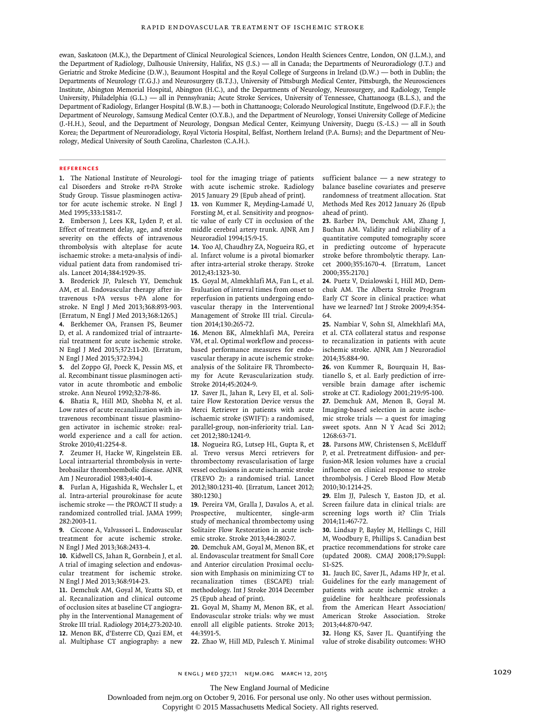ewan, Saskatoon (M.K.), the Department of Clinical Neurological Sciences, London Health Sciences Centre, London, ON (J.L.M.), and the Department of Radiology, Dalhousie University, Halifax, NS (J.S.) — all in Canada; the Departments of Neuroradiology (J.T.) and Geriatric and Stroke Medicine (D.W.), Beaumont Hospital and the Royal College of Surgeons in Ireland (D.W.) — both in Dublin; the Departments of Neurology (T.G.J.) and Neurosurgery (B.T.J.), University of Pittsburgh Medical Center, Pittsburgh, the Neurosciences Institute, Abington Memorial Hospital, Abington (H.C.), and the Departments of Neurology, Neurosurgery, and Radiology, Temple University, Philadelphia (G.L.) — all in Pennsylvania; Acute Stroke Services, University of Tennessee, Chattanooga (B.L.S.), and the Department of Radiology, Erlanger Hospital (B.W.B.) — both in Chattanooga; Colorado Neurological Institute, Engelwood (D.F.F.); the Department of Neurology, Samsung Medical Center (O.Y.B.), and the Department of Neurology, Yonsei University College of Medicine (J.-H.H.), Seoul, and the Department of Neurology, Dongsan Medical Center, Keimyung University, Daegu (S.-I.S.) — all in South Korea; the Department of Neuroradiology, Royal Victoria Hospital, Belfast, Northern Ireland (P.A. Burns); and the Department of Neurology, Medical University of South Carolina, Charleston (C.A.H.).

#### **References**

**1.** The National Institute of Neurological Disorders and Stroke rt-PA Stroke Study Group. Tissue plasminogen activator for acute ischemic stroke. N Engl J Med 1995;333:1581-7.

**2.** Emberson J, Lees KR, Lyden P, et al. Effect of treatment delay, age, and stroke severity on the effects of intravenous thrombolysis with alteplase for acute ischaemic stroke: a meta-analysis of individual patient data from randomised trials. Lancet 2014;384:1929-35.

**3.** Broderick JP, Palesch YY, Demchuk AM, et al. Endovascular therapy after intravenous t-PA versus t-PA alone for stroke. N Engl J Med 2013;368:893-903. [Erratum, N Engl J Med 2013;368:1265.] **4.** Berkhemer OA, Fransen PS, Beumer D, et al. A randomized trial of intraarterial treatment for acute ischemic stroke. N Engl J Med 2015;372:11-20. [Erratum, N Engl J Med 2015;372:394.]

**5.** del Zoppo GJ, Poeck K, Pessin MS, et al. Recombinant tissue plasminogen activator in acute thrombotic and embolic stroke. Ann Neurol 1992;32:78-86.

**6.** Bhatia R, Hill MD, Shobha N, et al. Low rates of acute recanalization with intravenous recombinant tissue plasminogen activator in ischemic stroke: realworld experience and a call for action. Stroke 2010;41:2254-8.

**7.** Zeumer H, Hacke W, Ringelstein EB. Local intraarterial thrombolysis in vertebrobasilar thromboembolic disease. AJNR Am J Neuroradiol 1983;4:401-4.

**8.** Furlan A, Higashida R, Wechsler L, et al. Intra-arterial prourokinase for acute ischemic stroke — the PROACT II study: a randomized controlled trial. JAMA 1999; 282:2003-11.

**9.** Ciccone A, Valvassori L. Endovascular treatment for acute ischemic stroke. N Engl J Med 2013;368:2433-4.

**10.** Kidwell CS, Jahan R, Gornbein J, et al. A trial of imaging selection and endovascular treatment for ischemic stroke. N Engl J Med 2013;368:914-23.

**11.** Demchuk AM, Goyal M, Yeatts SD, et al. Recanalization and clinical outcome of occlusion sites at baseline CT angiography in the Interventional Management of Stroke III trial. Radiology 2014;273:202-10. **12.** Menon BK, d'Esterre CD, Qazi EM, et al. Multiphase CT angiography: a new

tool for the imaging triage of patients with acute ischemic stroke. Radiology 2015 January 29 [Epub ahead of print]. **13.** von Kummer R, Meyding-Lamadé U, Forsting M, et al. Sensitivity and prognostic value of early CT in occlusion of the middle cerebral artery trunk. AJNR Am J Neuroradiol 1994;15:9-15.

**14.** Yoo AJ, Chaudhry ZA, Nogueira RG, et al. Infarct volume is a pivotal biomarker after intra-arterial stroke therapy. Stroke 2012;43:1323-30.

**15.** Goyal M, Almekhlafi MA, Fan L, et al. Evaluation of interval times from onset to reperfusion in patients undergoing endovascular therapy in the Interventional Management of Stroke III trial. Circulation 2014;130:265-72.

**16.** Menon BK, Almekhlafi MA, Pereira VM, et al. Optimal workflow and processbased performance measures for endovascular therapy in acute ischemic stroke: analysis of the Solitaire FR Thrombectomy for Acute Revascularization study. Stroke 2014;45:2024-9.

**17.** Saver JL, Jahan R, Levy EI, et al. Solitaire Flow Restoration Device versus the Merci Retriever in patients with acute ischaemic stroke (SWIFT): a randomised, parallel-group, non-inferiority trial. Lancet 2012;380:1241-9.

**18.** Nogueira RG, Lutsep HL, Gupta R, et al. Trevo versus Merci retrievers for thrombectomy revascularisation of large vessel occlusions in acute ischaemic stroke (TREVO 2): a randomised trial. Lancet 2012;380:1231-40. [Erratum, Lancet 2012; 380:1230.]

**19.** Pereira VM, Gralla J, Davalos A, et al. Prospective multicenter single-arm study of mechanical thrombectomy using Solitaire Flow Restoration in acute ischemic stroke. Stroke 2013;44:2802-7.

**20.** Demchuk AM, Goyal M, Menon BK, et al. Endovascular treatment for Small Core and Anterior circulation Proximal occlusion with Emphasis on minimizing CT to recanalization times (ESCAPE) trial: methodology. Int J Stroke 2014 December 25 (Epub ahead of print).

**21.** Goyal M, Shamy M, Menon BK, et al. Endovascular stroke trials: why we must enroll all eligible patients. Stroke 2013; 44:3591-5.

**22.** Zhao W, Hill MD, Palesch Y. Minimal

sufficient balance — a new strategy to balance baseline covariates and preserve randomness of treatment allocation. Stat Methods Med Res 2012 January 26 (Epub ahead of print).

**23.** Barber PA, Demchuk AM, Zhang J, Buchan AM. Validity and reliability of a quantitative computed tomography score in predicting outcome of hyperacute stroke before thrombolytic therapy. Lancet 2000;355:1670-4. [Erratum, Lancet 2000;355:2170.]

**24.** Puetz V, Dzialowski I, Hill MD, Demchuk AM. The Alberta Stroke Program Early CT Score in clinical practice: what have we learned? Int J Stroke 2009;4:354- 64.

**25.** Nambiar V, Sohn SI, Almekhlafi MA, et al. CTA collateral status and response to recanalization in patients with acute ischemic stroke. AJNR Am J Neuroradiol 2014;35:884-90.

**26.** von Kummer R, Bourquain H, Bastianello S, et al. Early prediction of irreversible brain damage after ischemic stroke at CT. Radiology 2001;219:95-100. **27.** Demchuk AM, Menon B, Goyal M. Imaging-based selection in acute ischemic stroke trials — a quest for imaging sweet spots. Ann N Y Acad Sci 2012; 1268:63-71.

**28.** Parsons MW, Christensen S, McElduff P, et al. Pretreatment diffusion- and perfusion-MR lesion volumes have a crucial influence on clinical response to stroke thrombolysis. J Cereb Blood Flow Metab 2010;30:1214-25.

**29.** Elm JJ, Palesch Y, Easton JD, et al. Screen failure data in clinical trials: are screening logs worth it? Clin Trials 2014;11:467-72.

**30.** Lindsay P, Bayley M, Hellings C, Hill M, Woodbury E, Phillips S. Canadian best practice recommendations for stroke care (updated 2008). CMAJ 2008;179:Suppl: S1-S25.

**31.** Jauch EC, Saver JL, Adams HP Jr, et al. Guidelines for the early management of patients with acute ischemic stroke: a guideline for healthcare professionals from the American Heart Association/ American Stroke Association. Stroke 2013;44:870-947.

**32.** Hong KS, Saver JL. Quantifying the value of stroke disability outcomes: WHO

The New England Journal of Medicine

Downloaded from nejm.org on October 9, 2016. For personal use only. No other uses without permission.